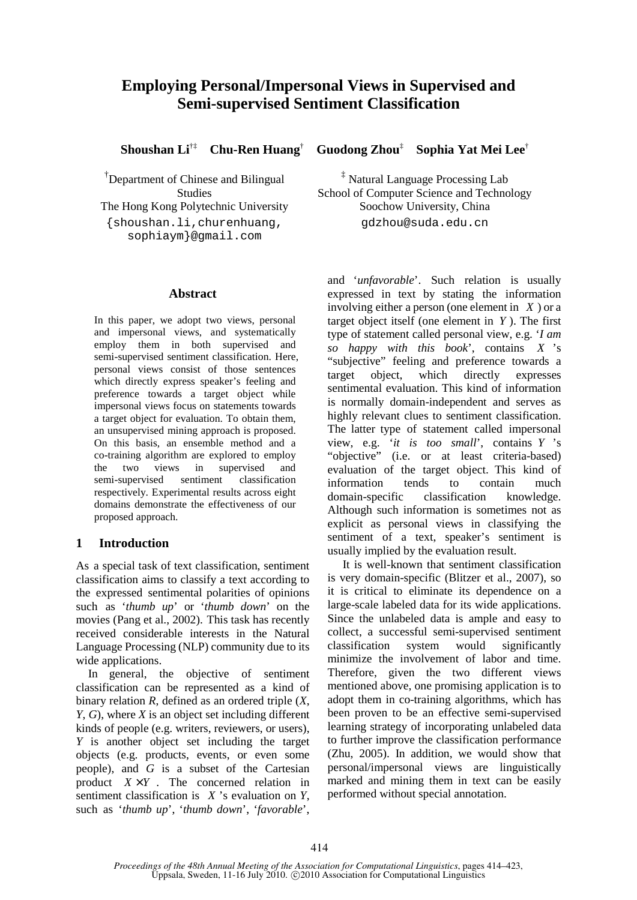# **Employing Personal/Impersonal Views in Supervised and Semi-supervised Sentiment Classification**

**Shoushan Li**†‡ **Chu-Ren Huang**†

†Department of Chinese and Bilingual Studies The Hong Kong Polytechnic University {shoushan.li,churenhuang, sophiaym}@gmail.com

### **Abstract**

In this paper, we adopt two views, personal and impersonal views, and systematically employ them in both supervised and semi-supervised sentiment classification. Here, personal views consist of those sentences which directly express speaker's feeling and preference towards a target object while impersonal views focus on statements towards a target object for evaluation. To obtain them, an unsupervised mining approach is proposed. On this basis, an ensemble method and a co-training algorithm are explored to employ the two views in supervised and semi-supervised sentiment classification respectively. Experimental results across eight domains demonstrate the effectiveness of our proposed approach.

### **1 Introduction**

As a special task of text classification, sentiment classification aims to classify a text according to the expressed sentimental polarities of opinions such as '*thumb up*' or '*thumb down*' on the movies (Pang et al., 2002). This task has recently received considerable interests in the Natural Language Processing (NLP) community due to its wide applications.

In general, the objective of sentiment classification can be represented as a kind of binary relation *R*, defined as an ordered triple (*X*, *Y*, *G*), where *X* is an object set including different kinds of people (e.g. writers, reviewers, or users), *Y* is another object set including the target objects (e.g. products, events, or even some people), and *G* is a subset of the Cartesian product  $X \times Y$ . The concerned relation in sentiment classification is *X* 's evaluation on *Y*, such as '*thumb up*', '*thumb down*', '*favorable*',

 **Guodong Zhou**‡  **Sophia Yat Mei Lee**†

‡ Natural Language Processing Lab School of Computer Science and Technology Soochow University, China gdzhou@suda.edu.cn

and '*unfavorable*'. Such relation is usually expressed in text by stating the information involving either a person (one element in *X* ) or a target object itself (one element in *Y* ). The first type of statement called personal view, e.g. '*I am so happy with this book*', contains *X* 's "subjective" feeling and preference towards a target object, which directly expresses sentimental evaluation. This kind of information is normally domain-independent and serves as highly relevant clues to sentiment classification. The latter type of statement called impersonal view, e.g. '*it is too small*', contains *Y* 's "objective" (i.e. or at least criteria-based) evaluation of the target object. This kind of information tends to contain much domain-specific classification knowledge. Although such information is sometimes not as explicit as personal views in classifying the sentiment of a text, speaker's sentiment is usually implied by the evaluation result.

It is well-known that sentiment classification is very domain-specific (Blitzer et al., 2007), so it is critical to eliminate its dependence on a large-scale labeled data for its wide applications. Since the unlabeled data is ample and easy to collect, a successful semi-supervised sentiment classification system would significantly minimize the involvement of labor and time. Therefore, given the two different views mentioned above, one promising application is to adopt them in co-training algorithms, which has been proven to be an effective semi-supervised learning strategy of incorporating unlabeled data to further improve the classification performance (Zhu, 2005). In addition, we would show that personal/impersonal views are linguistically marked and mining them in text can be easily performed without special annotation.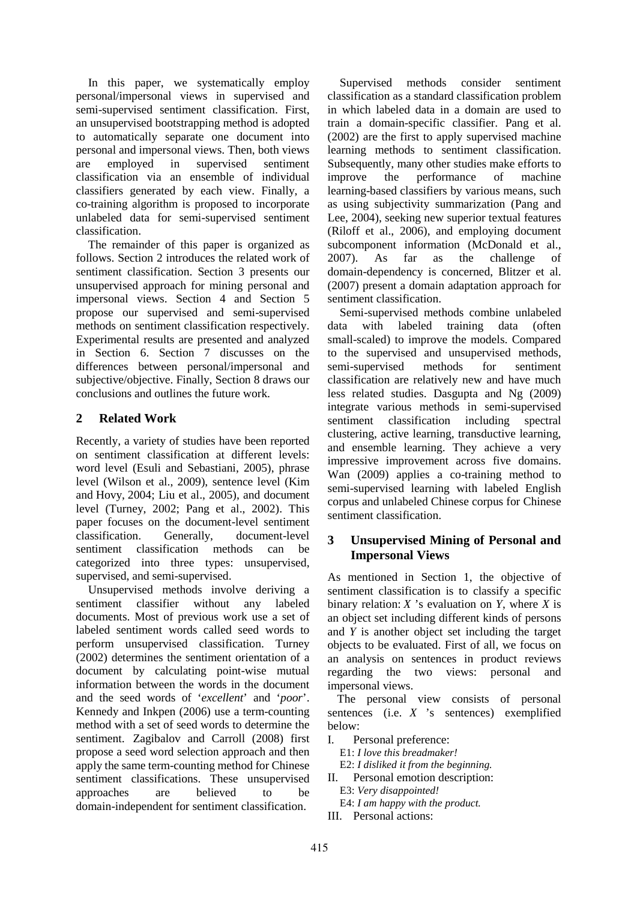In this paper, we systematically employ personal/impersonal views in supervised and semi-supervised sentiment classification. First, an unsupervised bootstrapping method is adopted to automatically separate one document into personal and impersonal views. Then, both views are employed in supervised sentiment classification via an ensemble of individual classifiers generated by each view. Finally, a co-training algorithm is proposed to incorporate unlabeled data for semi-supervised sentiment classification.

The remainder of this paper is organized as follows. Section 2 introduces the related work of sentiment classification. Section 3 presents our unsupervised approach for mining personal and impersonal views. Section 4 and Section 5 propose our supervised and semi-supervised methods on sentiment classification respectively. Experimental results are presented and analyzed in Section 6. Section 7 discusses on the differences between personal/impersonal and subjective/objective. Finally, Section 8 draws our conclusions and outlines the future work.

## **2 Related Work**

Recently, a variety of studies have been reported on sentiment classification at different levels: word level (Esuli and Sebastiani, 2005), phrase level (Wilson et al., 2009), sentence level (Kim and Hovy, 2004; Liu et al., 2005), and document level (Turney, 2002; Pang et al., 2002). This paper focuses on the document-level sentiment classification. Generally, document-level sentiment classification methods can be categorized into three types: unsupervised, supervised, and semi-supervised.

Unsupervised methods involve deriving a sentiment classifier without any labeled documents. Most of previous work use a set of labeled sentiment words called seed words to perform unsupervised classification. Turney (2002) determines the sentiment orientation of a document by calculating point-wise mutual information between the words in the document and the seed words of '*excellent*' and '*poor*'. Kennedy and Inkpen (2006) use a term-counting method with a set of seed words to determine the sentiment. Zagibalov and Carroll (2008) first propose a seed word selection approach and then apply the same term-counting method for Chinese sentiment classifications. These unsupervised approaches are believed to be domain-independent for sentiment classification.

Supervised methods consider sentiment classification as a standard classification problem in which labeled data in a domain are used to train a domain-specific classifier. Pang et al. (2002) are the first to apply supervised machine learning methods to sentiment classification. Subsequently, many other studies make efforts to improve the performance of machine learning-based classifiers by various means, such as using subjectivity summarization (Pang and Lee, 2004), seeking new superior textual features (Riloff et al., 2006), and employing document subcomponent information (McDonald et al., 2007). As far as the challenge of domain-dependency is concerned, Blitzer et al. (2007) present a domain adaptation approach for sentiment classification.

Semi-supervised methods combine unlabeled data with labeled training data (often small-scaled) to improve the models. Compared to the supervised and unsupervised methods, semi-supervised methods for sentiment classification are relatively new and have much less related studies. Dasgupta and Ng (2009) integrate various methods in semi-supervised sentiment classification including spectral clustering, active learning, transductive learning, and ensemble learning. They achieve a very impressive improvement across five domains. Wan (2009) applies a co-training method to semi-supervised learning with labeled English corpus and unlabeled Chinese corpus for Chinese sentiment classification.

# **3 Unsupervised Mining of Personal and Impersonal Views**

As mentioned in Section 1, the objective of sentiment classification is to classify a specific binary relation: *X* 's evaluation on *Y*, where *X* is an object set including different kinds of persons and *Y* is another object set including the target objects to be evaluated. First of all, we focus on an analysis on sentences in product reviews regarding the two views: personal and impersonal views.

The personal view consists of personal sentences (i.e. *X* 's sentences) exemplified below:

- I. Personal preference:
	- E1: *I love this breadmaker!*
	- E2: *I disliked it from the beginning.*
- II. Personal emotion description:
	- E3: *Very disappointed!*
	- E4: *I am happy with the product.*
- III. Personal actions: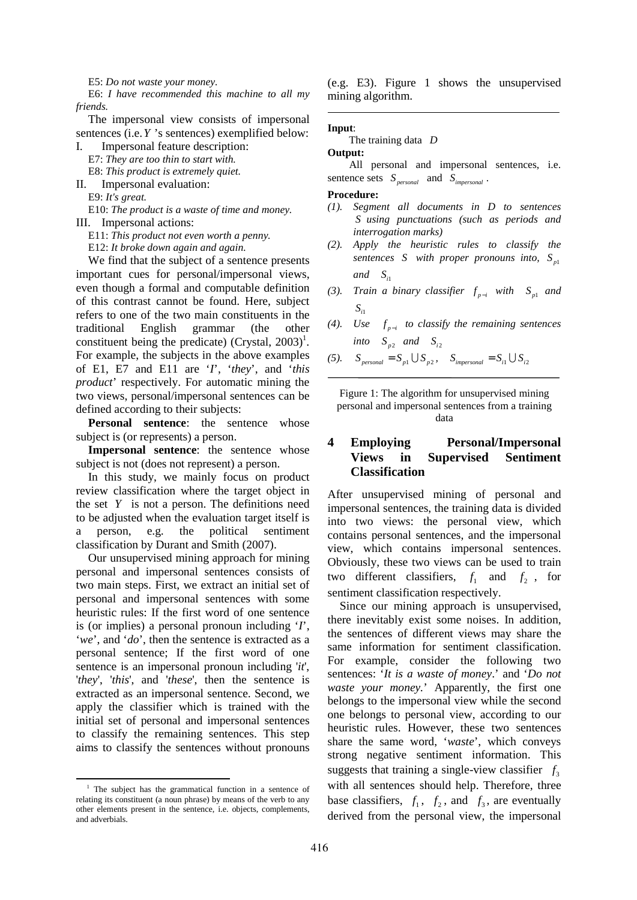E5: *Do not waste your money.* 

E6: *I have recommended this machine to all my friends.* 

The impersonal view consists of impersonal sentences (i.e.*Y* 's sentences) exemplified below:

I. Impersonal feature description: E7: *They are too thin to start with.*  E8: *This product is extremely quiet.*

II. Impersonal evaluation:

E9: *It's great.* 

E10: *The product is a waste of time and money.*  III. Impersonal actions:

E11: *This product not even worth a penny.* E12: *It broke down again and again.* 

We find that the subject of a sentence presents important cues for personal/impersonal views, even though a formal and computable definition of this contrast cannot be found. Here, subject refers to one of the two main constituents in the traditional English grammar (the other constituent being the predicate) (Crystal,  $2003$ <sup>1</sup>. For example, the subjects in the above examples of E1, E7 and E11 are '*I*', '*they*', and '*this product*' respectively. For automatic mining the two views, personal/impersonal sentences can be defined according to their subjects:

**Personal sentence**: the sentence whose subject is (or represents) a person.

**Impersonal sentence**: the sentence whose subject is not (does not represent) a person.

In this study, we mainly focus on product review classification where the target object in the set *Y* is not a person. The definitions need to be adjusted when the evaluation target itself is a person, e.g. the political sentiment classification by Durant and Smith (2007).

Our unsupervised mining approach for mining personal and impersonal sentences consists of two main steps. First, we extract an initial set of personal and impersonal sentences with some heuristic rules: If the first word of one sentence is (or implies) a personal pronoun including '*I*', '*we*', and '*do*', then the sentence is extracted as a personal sentence; If the first word of one sentence is an impersonal pronoun including '*it*', '*they*', '*this*', and '*these*', then the sentence is extracted as an impersonal sentence. Second, we apply the classifier which is trained with the initial set of personal and impersonal sentences to classify the remaining sentences. This step aims to classify the sentences without pronouns

֦

(e.g. E3). Figure 1 shows the unsupervised mining algorithm.

#### **Input**:

#### The training data *D*

#### **Output:**

All personal and impersonal sentences, i.e. sentence sets  $S_{\text{personal}}$  and  $S_{\text{impersonal}}$ .

#### **Procedure:**

- *(1). Segment all documents in D to sentences S using punctuations (such as periods and interrogation marks)*
- *(2). Apply the heuristic rules to classify the sentences S* with proper pronouns into,  $S_{p1}$  $and$   $S_{i1}$
- *(3). Train a binary classifier*  $f_{p-i}$  *with*  $S_{p1}$  *and i*1 *S*
- *(4). Use*  $f_{p-i}$  *to classify the remaining sentences into*  $S_{p2}$  *and*  $S_{i2}$
- *(5).*  $S_{personal} = S_{p1} \cup S_{p2}$ ,  $S_{impersonal} = S_{i1} \cup S_{i2}$

Figure 1: The algorithm for unsupervised mining personal and impersonal sentences from a training data

### **4 Employing Personal/Impersonal Views in Supervised Sentiment Classification**

After unsupervised mining of personal and impersonal sentences, the training data is divided into two views: the personal view, which contains personal sentences, and the impersonal view, which contains impersonal sentences. Obviously, these two views can be used to train two different classifiers,  $f_1$  and  $f_2$ , for sentiment classification respectively.

Since our mining approach is unsupervised, there inevitably exist some noises. In addition, the sentences of different views may share the same information for sentiment classification. For example, consider the following two sentences: '*It is a waste of money*.' and '*Do not waste your money.*' Apparently, the first one belongs to the impersonal view while the second one belongs to personal view, according to our heuristic rules. However, these two sentences share the same word, '*waste*', which conveys strong negative sentiment information. This suggests that training a single-view classifier  $f_3$ with all sentences should help. Therefore, three base classifiers,  $f_1$ ,  $f_2$ , and  $f_3$ , are eventually derived from the personal view, the impersonal

<sup>&</sup>lt;sup>1</sup> The subject has the grammatical function in a sentence of relating its constituent (a noun phrase) by means of the verb to any other elements present in the sentence, i.e. objects, complements, and adverbials.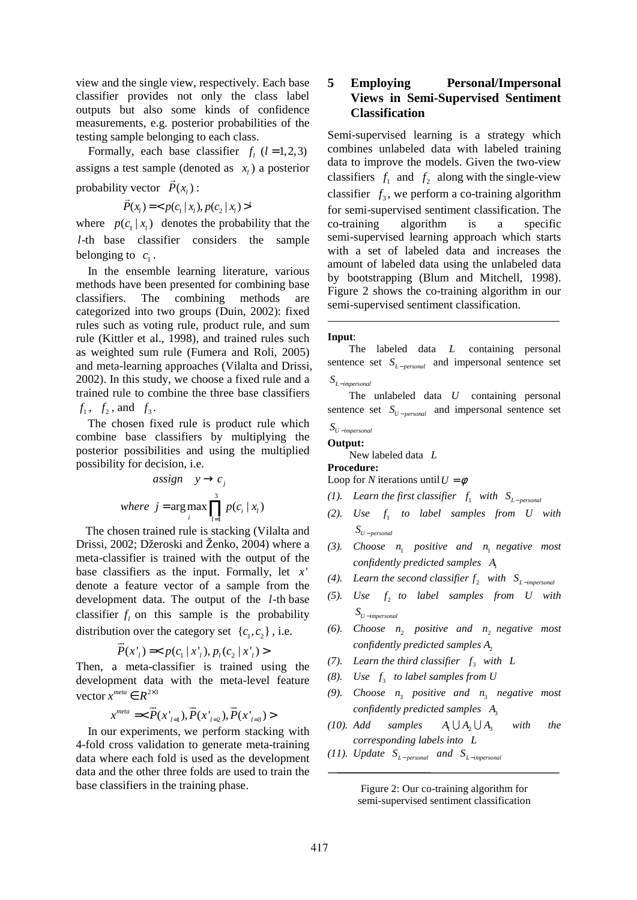view and the single view, respectively. Each base classifier provides not only the class label outputs but also some kinds of confidence measurements, e.g. posterior probabilities of the testing sample belonging to each class.

Formally, each base classifier  $f_l$  ( $l = 1,2,3$ ) assigns a test sample (denoted as  $x_i$ ) a posterior probability vector  $P(x_i)$ :

$$
\vec{P}(x_1) = \langle p(c_1 | x_1), p(c_2 | x_1) \rangle^t
$$

where  $p(c_1 | x_i)$  denotes the probability that the *l*-th base classifier considers the sample belonging to  $c_1$ .

In the ensemble learning literature, various methods have been presented for combining base classifiers. The combining methods are categorized into two groups (Duin, 2002): fixed rules such as voting rule, product rule, and sum rule (Kittler et al., 1998), and trained rules such as weighted sum rule (Fumera and Roli, 2005) and meta-learning approaches (Vilalta and Drissi, 2002). In this study, we choose a fixed rule and a trained rule to combine the three base classifiers  $f_1, f_2, \text{ and } f_3.$ 

The chosen fixed rule is product rule which combine base classifiers by multiplying the posterior possibilities and using the multiplied possibility for decision, i.e.

$$
assign \t y \rightarrow c_j
$$
\n
$$
where \t j = arg max \prod_{i=1}^{3} p(c_i | x_i)
$$

The chosen trained rule is stacking (Vilalta and Drissi, 2002; Džeroski and Ženko, 2004) where a meta-classifier is trained with the output of the base classifiers as the input. Formally, let *x* ' denote a feature vector of a sample from the development data. The output of the *l*-th base classifier  $f_l$  on this sample is the probability distribution over the category set  $\{c_1, c_2\}$ , i.e.

$$
\vec{P}(x_1') =
$$

Then, a meta-classifier is trained using the development data with the meta-level feature vector  $x^{meta} \in R^{2 \times 3}$ 

$$
x^{meta} = <\vec{P}(x'_{l=1}), \vec{P}(x'_{l=2}), \vec{P}(x'_{l=3})>
$$

In our experiments, we perform stacking with 4-fold cross validation to generate meta-training data where each fold is used as the development data and the other three folds are used to train the base classifiers in the training phase.

# **5 Employing Personal/Impersonal Views in Semi-Supervised Sentiment Classification**

Semi-supervised learning is a strategy which combines unlabeled data with labeled training data to improve the models. Given the two-view classifiers  $f_1$  and  $f_2$  along with the single-view classifier  $f_3$ , we perform a co-training algorithm for semi-supervised sentiment classification. The co-training algorithm is a specific semi-supervised learning approach which starts with a set of labeled data and increases the amount of labeled data using the unlabeled data by bootstrapping (Blum and Mitchell, 1998). Figure 2 shows the co-training algorithm in our semi-supervised sentiment classification.

#### **Input**:

The labeled data *L* containing personal sentence set  $S_{L-personal}$  and impersonal sentence set *L impersonal S* <sup>−</sup>

The unlabeled data *U* containing personal sentence set  $S_{U-personal}$  and impersonal sentence set *U impersonal S* <sup>−</sup>

### **Output:**

New labeled data *L* **Procedure:** 

Loop for *N* iterations until  $U = \phi$ 

- *(1).* Learn the first classifier  $f_1$  with  $S_{L-personal}$
- $(2).$  Use  $f_1$  to label samples from U with  $S_{U-$  *personal*
- (3). *Choose*  $n_1$  *positive and*  $n_1$  *negative most confidently predicted samples*  $A_1$
- (4). Learn the second classifier  $f_2$  with  $S_{L-impersonal}$
- $(5)$ . Use  $f_2$  to label samples from U with *U impersonal S* <sup>−</sup>
- (6). *Choose*  $n_2$  *positive and*  $n_2$  *negative most confidently predicted samples*  $A$ <sub>2</sub>
- *(7).* Learn the third classifier  $f_3$  with L
- $(8)$ . Use  $f_3$  to label samples from U
- (9). *Choose*  $n_3$  *positive and*  $n_3$  *negative most confidently predicted samples*  $A_3$
- *(10). Add samples*  $A_1 \cup A_2 \cup A_3$  *with the corresponding labels into L*
- *(11). Update*  $S_{L-personal}$  *and*  $S_{L-impersonal}$

Figure 2: Our co-training algorithm for semi-supervised sentiment classification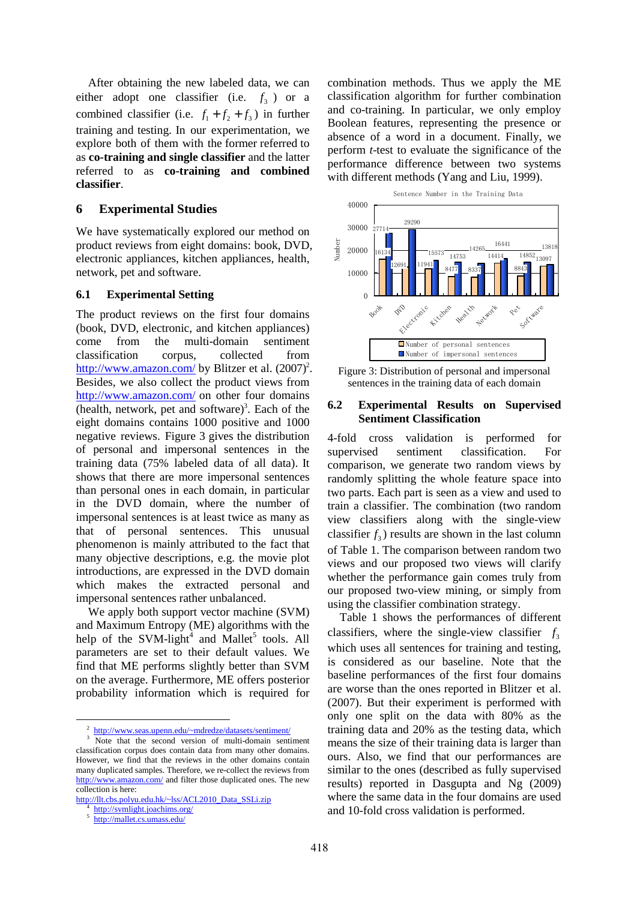After obtaining the new labeled data, we can either adopt one classifier (i.e.  $f_3$ ) or a combined classifier (i.e.  $f_1 + f_2 + f_3$ ) in further training and testing. In our experimentation, we explore both of them with the former referred to as **co-training and single classifier** and the latter referred to as **co-training and combined classifier**.

### **6 Experimental Studies**

We have systematically explored our method on product reviews from eight domains: book, DVD, electronic appliances, kitchen appliances, health, network, pet and software.

### **6.1 Experimental Setting**

The product reviews on the first four domains (book, DVD, electronic, and kitchen appliances) come from the multi-domain sentiment classification corpus, collected from http://www.amazon.com/ by Blitzer et al. (2007)<sup>2</sup>. Besides, we also collect the product views from http://www.amazon.com/ on other four domains  $($ health, network, pet and software $)$ <sup>3</sup>. Each of the eight domains contains 1000 positive and 1000 negative reviews. Figure 3 gives the distribution of personal and impersonal sentences in the training data (75% labeled data of all data). It shows that there are more impersonal sentences than personal ones in each domain, in particular in the DVD domain, where the number of impersonal sentences is at least twice as many as that of personal sentences. This unusual phenomenon is mainly attributed to the fact that many objective descriptions, e.g. the movie plot introductions, are expressed in the DVD domain which makes the extracted personal and impersonal sentences rather unbalanced.

We apply both support vector machine (SVM) and Maximum Entropy (ME) algorithms with the help of the SVM-light<sup>4</sup> and Mallet<sup>5</sup> tools. All parameters are set to their default values. We find that ME performs slightly better than SVM on the average. Furthermore, ME offers posterior probability information which is required for

֦

combination methods. Thus we apply the ME classification algorithm for further combination and co-training. In particular, we only employ Boolean features, representing the presence or absence of a word in a document. Finally, we perform *t*-test to evaluate the significance of the performance difference between two systems with different methods (Yang and Liu, 1999).



Figure 3: Distribution of personal and impersonal sentences in the training data of each domain

### **6.2 Experimental Results on Supervised Sentiment Classification**

4-fold cross validation is performed for supervised sentiment classification. For comparison, we generate two random views by randomly splitting the whole feature space into two parts. Each part is seen as a view and used to train a classifier. The combination (two random view classifiers along with the single-view classifier  $f_3$ ) results are shown in the last column of Table 1. The comparison between random two views and our proposed two views will clarify whether the performance gain comes truly from our proposed two-view mining, or simply from using the classifier combination strategy.

Table 1 shows the performances of different classifiers, where the single-view classifier  $f_3$ which uses all sentences for training and testing, is considered as our baseline. Note that the baseline performances of the first four domains are worse than the ones reported in Blitzer et al. (2007). But their experiment is performed with only one split on the data with 80% as the training data and 20% as the testing data, which means the size of their training data is larger than ours. Also, we find that our performances are similar to the ones (described as fully supervised results) reported in Dasgupta and Ng (2009) where the same data in the four domains are used and 10-fold cross validation is performed.

<sup>2</sup> http://www.seas.upenn.edu/~mdredze/datasets/sentiment/

<sup>3</sup> Note that the second version of multi-domain sentiment classification corpus does contain data from many other domains. However, we find that the reviews in the other domains contain many duplicated samples. Therefore, we re-collect the reviews from http://www.amazon.com/ and filter those duplicated ones. The new collection is here:

http://llt.cbs.polyu.edu.hk/~lss/ACL2010\_Data\_SSLi.zip

http://svmlight.joachims.org/

<sup>5</sup> http://mallet.cs.umass.edu/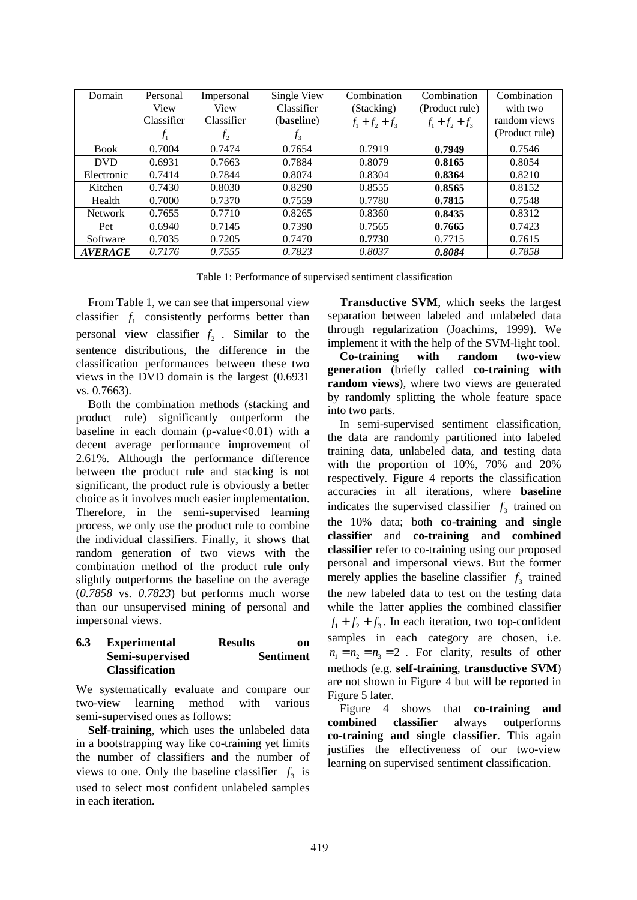| Domain         | Personal<br>View | Impersonal<br>View | Single View<br>Classifier | Combination<br>(Stacking) | Combination<br>(Product rule) | Combination<br>with two |
|----------------|------------------|--------------------|---------------------------|---------------------------|-------------------------------|-------------------------|
|                | Classifier       | Classifier         | (baseline)                | $f_1 + f_2 + f_3$         | $f_1 + f_2 + f_3$             | random views            |
|                | $f_1$            | f <sub>2</sub>     | $f_3$                     |                           |                               | (Product rule)          |
| <b>Book</b>    | 0.7004           | 0.7474             | 0.7654                    | 0.7919                    | 0.7949                        | 0.7546                  |
| <b>DVD</b>     | 0.6931           | 0.7663             | 0.7884                    | 0.8079                    | 0.8165                        | 0.8054                  |
| Electronic     | 0.7414           | 0.7844             | 0.8074                    | 0.8304                    | 0.8364                        | 0.8210                  |
| Kitchen        | 0.7430           | 0.8030             | 0.8290                    | 0.8555                    | 0.8565                        | 0.8152                  |
| Health         | 0.7000           | 0.7370             | 0.7559                    | 0.7780                    | 0.7815                        | 0.7548                  |
| <b>Network</b> | 0.7655           | 0.7710             | 0.8265                    | 0.8360                    | 0.8435                        | 0.8312                  |
| Pet            | 0.6940           | 0.7145             | 0.7390                    | 0.7565                    | 0.7665                        | 0.7423                  |
| Software       | 0.7035           | 0.7205             | 0.7470                    | 0.7730                    | 0.7715                        | 0.7615                  |
| <b>AVERAGE</b> | 0.7176           | 0.7555             | 0.7823                    | 0.8037                    | 0.8084                        | 0.7858                  |

Table 1: Performance of supervised sentiment classification

From Table 1, we can see that impersonal view classifier  $f_1$  consistently performs better than personal view classifier  $f_2$ . Similar to the sentence distributions, the difference in the classification performances between these two views in the DVD domain is the largest (0.6931 vs. 0.7663).

Both the combination methods (stacking and product rule) significantly outperform the baseline in each domain (p-value $< 0.01$ ) with a decent average performance improvement of 2.61%. Although the performance difference between the product rule and stacking is not significant, the product rule is obviously a better choice as it involves much easier implementation. Therefore, in the semi-supervised learning process, we only use the product rule to combine the individual classifiers. Finally, it shows that random generation of two views with the combination method of the product rule only slightly outperforms the baseline on the average (*0.7858* vs*. 0.7823*) but performs much worse than our unsupervised mining of personal and impersonal views.

### **6.3 Experimental Results on Semi-supervised Sentiment Classification**

We systematically evaluate and compare our two-view learning method with various semi-supervised ones as follows:

**Self-training**, which uses the unlabeled data in a bootstrapping way like co-training yet limits the number of classifiers and the number of views to one. Only the baseline classifier  $f_3$  is used to select most confident unlabeled samples in each iteration.

**Transductive SVM**, which seeks the largest separation between labeled and unlabeled data through regularization (Joachims, 1999). We implement it with the help of the SVM-light tool.

**Co-training with random two-view generation** (briefly called **co-training with random views**), where two views are generated by randomly splitting the whole feature space into two parts.

In semi-supervised sentiment classification, the data are randomly partitioned into labeled training data, unlabeled data, and testing data with the proportion of 10%, 70% and 20% respectively. Figure 4 reports the classification accuracies in all iterations, where **baseline**  indicates the supervised classifier  $f_3$  trained on the 10% data; both **co-training and single classifier** and **co-training and combined classifier** refer to co-training using our proposed personal and impersonal views. But the former merely applies the baseline classifier  $f_3$  trained the new labeled data to test on the testing data while the latter applies the combined classifier  $f_1 + f_2 + f_3$ . In each iteration, two top-confident samples in each category are chosen, i.e.  $n_1 = n_2 = n_3 = 2$ . For clarity, results of other methods (e.g. **self-training**, **transductive SVM**) are not shown in Figure 4 but will be reported in Figure 5 later.

Figure 4 shows that **co-training and combined classifier** always outperforms **co-training and single classifier**. This again justifies the effectiveness of our two-view learning on supervised sentiment classification.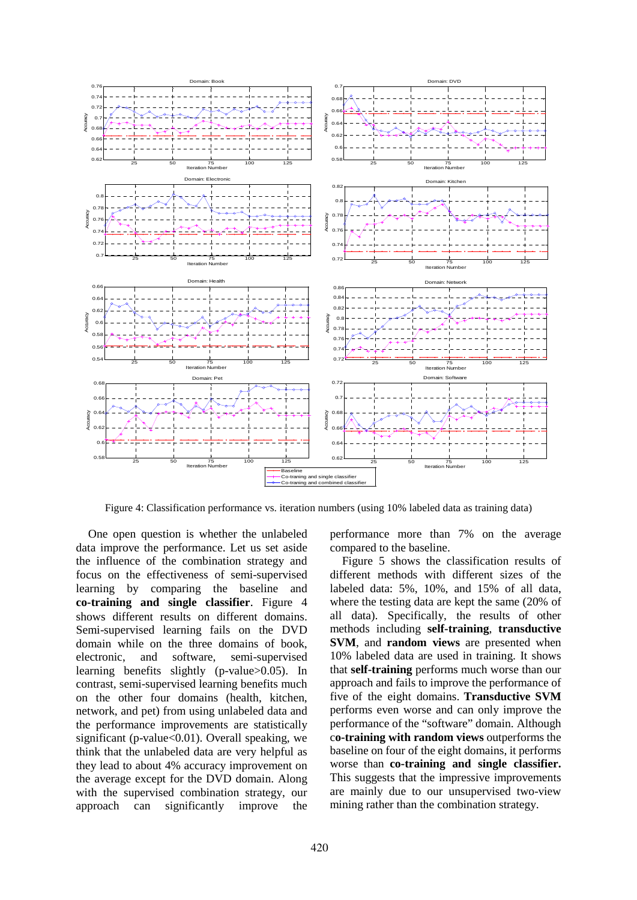

Figure 4: Classification performance vs. iteration numbers (using 10% labeled data as training data)

One open question is whether the unlabeled data improve the performance. Let us set aside the influence of the combination strategy and focus on the effectiveness of semi-supervised learning by comparing the baseline and **co-training and single classifier**. Figure 4 shows different results on different domains. Semi-supervised learning fails on the DVD domain while on the three domains of book, electronic, and software, semi-supervised learning benefits slightly (p-value>0.05). In contrast, semi-supervised learning benefits much on the other four domains (health, kitchen, network, and pet) from using unlabeled data and the performance improvements are statistically significant (p-value<0.01). Overall speaking, we think that the unlabeled data are very helpful as they lead to about 4% accuracy improvement on the average except for the DVD domain. Along with the supervised combination strategy, our approach can significantly improve the performance more than 7% on the average compared to the baseline.

Figure 5 shows the classification results of different methods with different sizes of the labeled data: 5%, 10%, and 15% of all data, where the testing data are kept the same (20% of all data). Specifically, the results of other methods including **self-training**, **transductive SVM**, and **random views** are presented when 10% labeled data are used in training. It shows that **self-training** performs much worse than our approach and fails to improve the performance of five of the eight domains. **Transductive SVM** performs even worse and can only improve the performance of the "software" domain. Although c**o-training with random views** outperforms the baseline on four of the eight domains, it performs worse than **co-training and single classifier.** This suggests that the impressive improvements are mainly due to our unsupervised two-view mining rather than the combination strategy.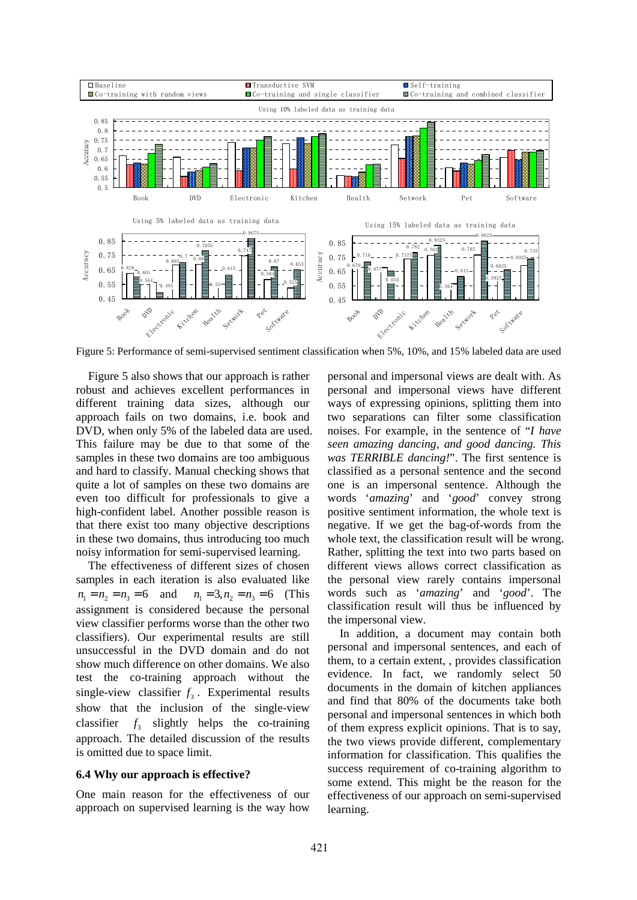

Figure 5: Performance of semi-supervised sentiment classification when 5%, 10%, and 15% labeled data are used

Figure 5 also shows that our approach is rather robust and achieves excellent performances in different training data sizes, although our approach fails on two domains, i.e. book and DVD, when only 5% of the labeled data are used. This failure may be due to that some of the samples in these two domains are too ambiguous and hard to classify. Manual checking shows that quite a lot of samples on these two domains are even too difficult for professionals to give a high-confident label. Another possible reason is that there exist too many objective descriptions in these two domains, thus introducing too much noisy information for semi-supervised learning.

The effectiveness of different sizes of chosen samples in each iteration is also evaluated like  $n_1 = n_2 = n_3 = 6$  and  $n_1 = 3, n_2 = n_3 = 6$  (This assignment is considered because the personal view classifier performs worse than the other two classifiers). Our experimental results are still unsuccessful in the DVD domain and do not show much difference on other domains. We also test the co-training approach without the single-view classifier  $f_3$ . Experimental results show that the inclusion of the single-view classifier  $f_3$  slightly helps the co-training approach. The detailed discussion of the results is omitted due to space limit.

### **6.4 Why our approach is effective?**

One main reason for the effectiveness of our approach on supervised learning is the way how personal and impersonal views are dealt with. As personal and impersonal views have different ways of expressing opinions, splitting them into two separations can filter some classification noises. For example, in the sentence of "*I have seen amazing dancing, and good dancing. This was TERRIBLE dancing!*". The first sentence is classified as a personal sentence and the second one is an impersonal sentence. Although the words '*amazing*' and '*good*' convey strong positive sentiment information, the whole text is negative. If we get the bag-of-words from the whole text, the classification result will be wrong. Rather, splitting the text into two parts based on different views allows correct classification as the personal view rarely contains impersonal words such as '*amazing*' and '*good*'. The classification result will thus be influenced by the impersonal view.

In addition, a document may contain both personal and impersonal sentences, and each of them, to a certain extent, , provides classification evidence. In fact, we randomly select 50 documents in the domain of kitchen appliances and find that 80% of the documents take both personal and impersonal sentences in which both of them express explicit opinions. That is to say, the two views provide different, complementary information for classification. This qualifies the success requirement of co-training algorithm to some extend. This might be the reason for the effectiveness of our approach on semi-supervised learning.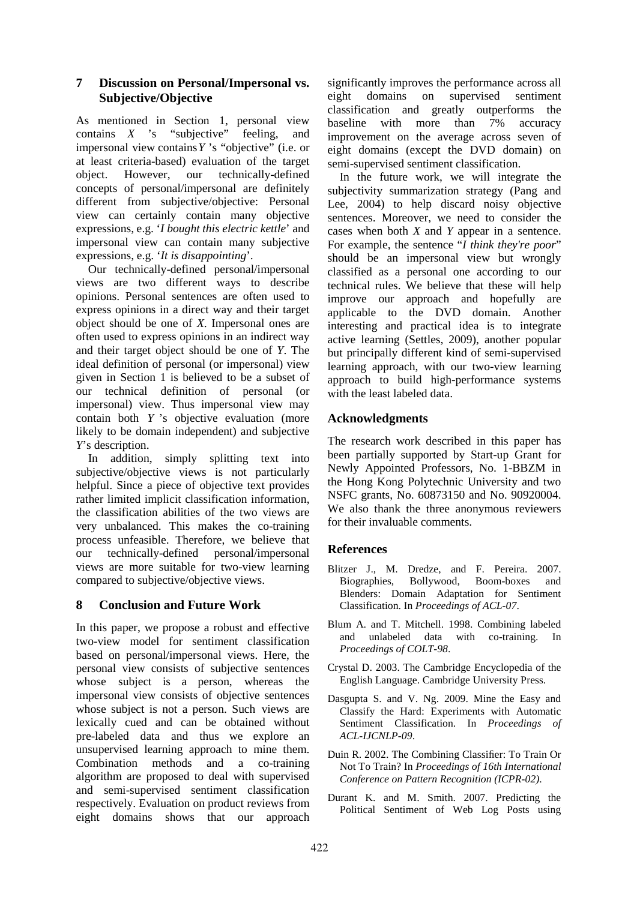# **7 Discussion on Personal/Impersonal vs. Subjective/Objective**

As mentioned in Section 1, personal view contains *X* 's "subjective" feeling, and impersonal view contains*Y* 's "objective" (i.e. or at least criteria-based) evaluation of the target object. However, our technically-defined concepts of personal/impersonal are definitely different from subjective/objective: Personal view can certainly contain many objective expressions, e.g. '*I bought this electric kettle*' and impersonal view can contain many subjective expressions, e.g. '*It is disappointing*'.

Our technically-defined personal/impersonal views are two different ways to describe opinions. Personal sentences are often used to express opinions in a direct way and their target object should be one of *X*. Impersonal ones are often used to express opinions in an indirect way and their target object should be one of *Y*. The ideal definition of personal (or impersonal) view given in Section 1 is believed to be a subset of our technical definition of personal (or impersonal) view. Thus impersonal view may contain both *Y* 's objective evaluation (more likely to be domain independent) and subjective *Y*'s description.

In addition, simply splitting text into subjective/objective views is not particularly helpful. Since a piece of objective text provides rather limited implicit classification information, the classification abilities of the two views are very unbalanced. This makes the co-training process unfeasible. Therefore, we believe that our technically-defined personal/impersonal views are more suitable for two-view learning compared to subjective/objective views.

# **8 Conclusion and Future Work**

In this paper, we propose a robust and effective two-view model for sentiment classification based on personal/impersonal views. Here, the personal view consists of subjective sentences whose subject is a person, whereas the impersonal view consists of objective sentences whose subject is not a person. Such views are lexically cued and can be obtained without pre-labeled data and thus we explore an unsupervised learning approach to mine them. Combination methods and a co-training algorithm are proposed to deal with supervised and semi-supervised sentiment classification respectively. Evaluation on product reviews from eight domains shows that our approach

significantly improves the performance across all eight domains on supervised sentiment classification and greatly outperforms the baseline with more than 7% accuracy improvement on the average across seven of eight domains (except the DVD domain) on semi-supervised sentiment classification.

In the future work, we will integrate the subjectivity summarization strategy (Pang and Lee, 2004) to help discard noisy objective sentences. Moreover, we need to consider the cases when both *X* and *Y* appear in a sentence. For example, the sentence "*I think they're poor*" should be an impersonal view but wrongly classified as a personal one according to our technical rules. We believe that these will help improve our approach and hopefully are applicable to the DVD domain. Another interesting and practical idea is to integrate active learning (Settles, 2009), another popular but principally different kind of semi-supervised learning approach, with our two-view learning approach to build high-performance systems with the least labeled data.

# **Acknowledgments**

The research work described in this paper has been partially supported by Start-up Grant for Newly Appointed Professors, No. 1-BBZM in the Hong Kong Polytechnic University and two NSFC grants, No. 60873150 and No. 90920004. We also thank the three anonymous reviewers for their invaluable comments.

# **References**

- Blitzer J., M. Dredze, and F. Pereira. 2007. Biographies, Bollywood, Boom-boxes and Blenders: Domain Adaptation for Sentiment Classification. In *Proceedings of ACL-07*.
- Blum A. and T. Mitchell. 1998. Combining labeled and unlabeled data with co-training. In *Proceedings of COLT-98*.
- Crystal D. 2003. The Cambridge Encyclopedia of the English Language. Cambridge University Press.
- Dasgupta S. and V. Ng. 2009. Mine the Easy and Classify the Hard: Experiments with Automatic Sentiment Classification. In *Proceedings of ACL-IJCNLP-09*.
- Duin R. 2002. The Combining Classifier: To Train Or Not To Train? In *Proceedings of 16th International Conference on Pattern Recognition (ICPR-02)*.
- Durant K. and M. Smith. 2007. Predicting the Political Sentiment of Web Log Posts using